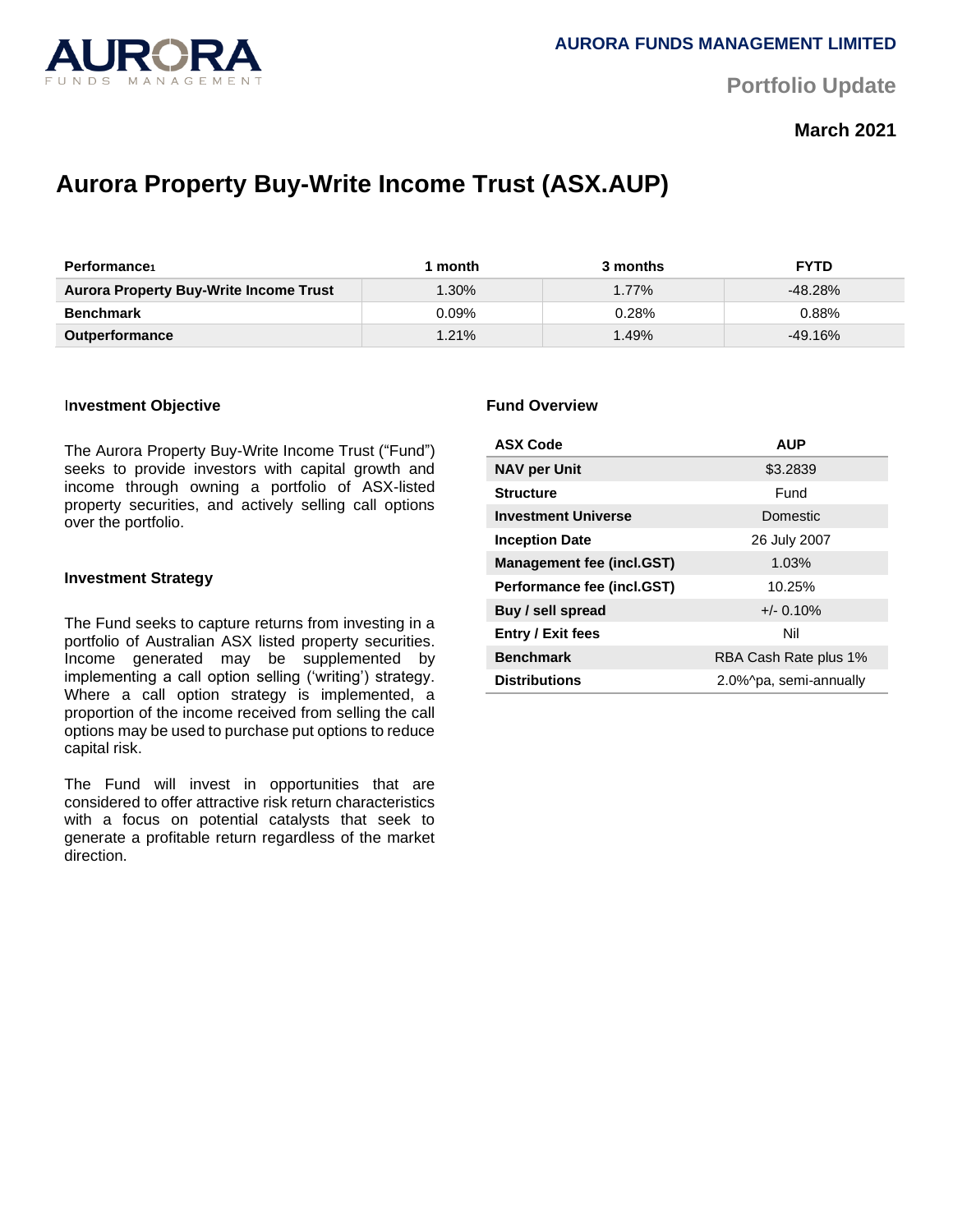

**Portfolio Update** 

# **March 2021**

# **Aurora Property Buy-Write Income Trust (ASX.AUP)**

| Performance                                   | month    | 3 months | <b>FYTD</b> |
|-----------------------------------------------|----------|----------|-------------|
| <b>Aurora Property Buy-Write Income Trust</b> | $1.30\%$ | $1.77\%$ | $-48.28%$   |
| <b>Benchmark</b>                              | $0.09\%$ | 0.28%    | 0.88%       |
| <b>Outperformance</b>                         | $1.21\%$ | $1.49\%$ | $-49.16%$   |

#### I**nvestment Objective**

The Aurora Property Buy-Write Income Trust ("Fund") seeks to provide investors with capital growth and income through owning a portfolio of ASX-listed property securities, and actively selling call options over the portfolio.

#### **Investment Strategy**

The Fund seeks to capture returns from investing in a portfolio of Australian ASX listed property securities. Income generated may be supplemented by implementing a call option selling ('writing') strategy. Where a call option strategy is implemented, a proportion of the income received from selling the call options may be used to purchase put options to reduce capital risk.

The Fund will invest in opportunities that are considered to offer attractive risk return characteristics with a focus on potential catalysts that seek to generate a profitable return regardless of the market direction.

#### **Fund Overview**

| <b>ASX Code</b>                  | <b>AUP</b>             |  |
|----------------------------------|------------------------|--|
| <b>NAV per Unit</b>              | \$3.2839               |  |
| <b>Structure</b>                 | Fund                   |  |
| <b>Investment Universe</b>       | Domestic               |  |
| <b>Inception Date</b>            | 26 July 2007           |  |
| <b>Management fee (incl.GST)</b> | 1.03%                  |  |
| Performance fee (incl.GST)       | 10.25%                 |  |
| Buy / sell spread                | $+/- 0.10%$            |  |
| <b>Entry / Exit fees</b>         | Nil                    |  |
| <b>Benchmark</b>                 | RBA Cash Rate plus 1%  |  |
| <b>Distributions</b>             | 2.0%^pa, semi-annually |  |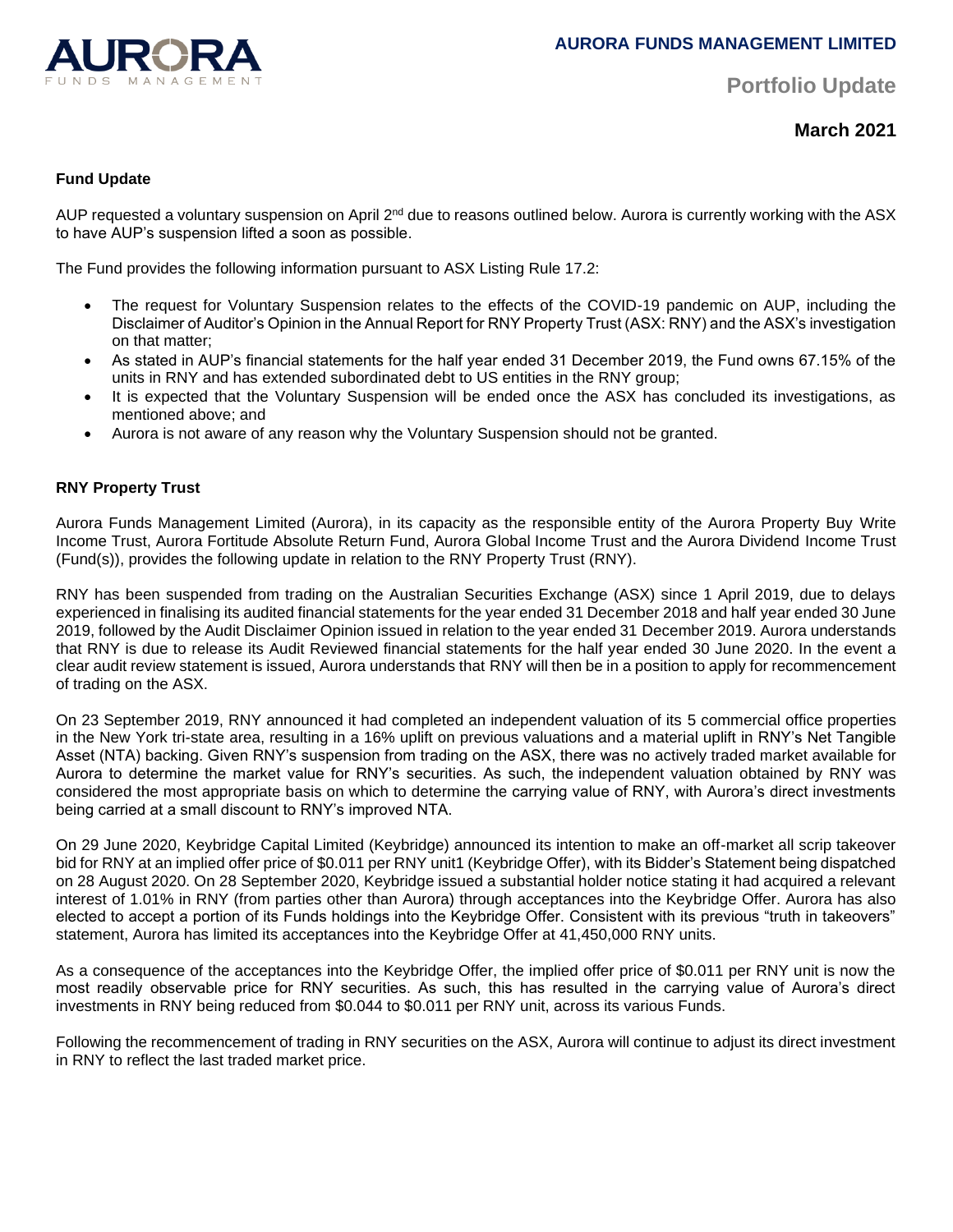

**Portfolio Update** 

**March 2021**

# **Fund Update**

AUP requested a voluntary suspension on April 2<sup>nd</sup> due to reasons outlined below. Aurora is currently working with the ASX to have AUP's suspension lifted a soon as possible.

The Fund provides the following information pursuant to ASX Listing Rule 17.2:

- The request for Voluntary Suspension relates to the effects of the COVID-19 pandemic on AUP, including the Disclaimer of Auditor's Opinion in the Annual Report for RNY Property Trust (ASX: RNY) and the ASX's investigation on that matter;
- As stated in AUP's financial statements for the half year ended 31 December 2019, the Fund owns 67.15% of the units in RNY and has extended subordinated debt to US entities in the RNY group;
- It is expected that the Voluntary Suspension will be ended once the ASX has concluded its investigations, as mentioned above; and
- Aurora is not aware of any reason why the Voluntary Suspension should not be granted.

# **RNY Property Trust**

Aurora Funds Management Limited (Aurora), in its capacity as the responsible entity of the Aurora Property Buy Write Income Trust, Aurora Fortitude Absolute Return Fund, Aurora Global Income Trust and the Aurora Dividend Income Trust (Fund(s)), provides the following update in relation to the RNY Property Trust (RNY).

RNY has been suspended from trading on the Australian Securities Exchange (ASX) since 1 April 2019, due to delays experienced in finalising its audited financial statements for the year ended 31 December 2018 and half year ended 30 June 2019, followed by the Audit Disclaimer Opinion issued in relation to the year ended 31 December 2019. Aurora understands that RNY is due to release its Audit Reviewed financial statements for the half year ended 30 June 2020. In the event a clear audit review statement is issued, Aurora understands that RNY will then be in a position to apply for recommencement of trading on the ASX.

On 23 September 2019, RNY announced it had completed an independent valuation of its 5 commercial office properties in the New York tri-state area, resulting in a 16% uplift on previous valuations and a material uplift in RNY's Net Tangible Asset (NTA) backing. Given RNY's suspension from trading on the ASX, there was no actively traded market available for Aurora to determine the market value for RNY's securities. As such, the independent valuation obtained by RNY was considered the most appropriate basis on which to determine the carrying value of RNY, with Aurora's direct investments being carried at a small discount to RNY's improved NTA.

On 29 June 2020, Keybridge Capital Limited (Keybridge) announced its intention to make an off-market all scrip takeover bid for RNY at an implied offer price of \$0.011 per RNY unit1 (Keybridge Offer), with its Bidder's Statement being dispatched on 28 August 2020. On 28 September 2020, Keybridge issued a substantial holder notice stating it had acquired a relevant interest of 1.01% in RNY (from parties other than Aurora) through acceptances into the Keybridge Offer. Aurora has also elected to accept a portion of its Funds holdings into the Keybridge Offer. Consistent with its previous "truth in takeovers" statement, Aurora has limited its acceptances into the Keybridge Offer at 41,450,000 RNY units.

As a consequence of the acceptances into the Keybridge Offer, the implied offer price of \$0.011 per RNY unit is now the most readily observable price for RNY securities. As such, this has resulted in the carrying value of Aurora's direct investments in RNY being reduced from \$0.044 to \$0.011 per RNY unit, across its various Funds.

Following the recommencement of trading in RNY securities on the ASX, Aurora will continue to adjust its direct investment in RNY to reflect the last traded market price.